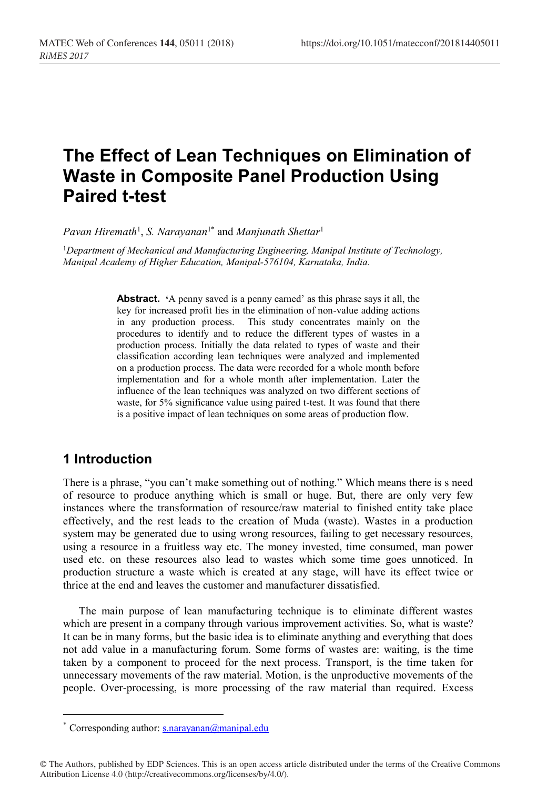# **The Effect of Lean Techniques on Elimination of Waste in Composite Panel Production Using Paired t-test**

*Pavan Hiremath*<sup>1</sup> , *S. Narayanan*1\* and *Manjunath Shettar*<sup>1</sup>

<sup>1</sup>*Department of Mechanical and Manufacturing Engineering, Manipal Institute of Technology, Manipal Academy of Higher Education, Manipal-576104, Karnataka, India.*

> **Abstract. '**A penny saved is a penny earned' as this phrase says it all, the key for increased profit lies in the elimination of non-value adding actions in any production process. This study concentrates mainly on the procedures to identify and to reduce the different types of wastes in a production process. Initially the data related to types of waste and their classification according lean techniques were analyzed and implemented on a production process. The data were recorded for a whole month before implementation and for a whole month after implementation. Later the influence of the lean techniques was analyzed on two different sections of waste, for 5% significance value using paired t-test. It was found that there is a positive impact of lean techniques on some areas of production flow.

## **1 Introduction**

There is a phrase, "you can't make something out of nothing." Which means there is s need of resource to produce anything which is small or huge. But, there are only very few instances where the transformation of resource/raw material to finished entity take place effectively, and the rest leads to the creation of Muda (waste). Wastes in a production system may be generated due to using wrong resources, failing to get necessary resources, using a resource in a fruitless way etc. The money invested, time consumed, man power used etc. on these resources also lead to wastes which some time goes unnoticed. In production structure a waste which is created at any stage, will have its effect twice or thrice at the end and leaves the customer and manufacturer dissatisfied.

The main purpose of lean manufacturing technique is to eliminate different wastes which are present in a company through various improvement activities. So, what is waste? It can be in many forms, but the basic idea is to eliminate anything and everything that does not add value in a manufacturing forum. Some forms of wastes are: waiting, is the time taken by a component to proceed for the next process. Transport, is the time taken for unnecessary movements of the raw material. Motion, is the unproductive movements of the people. Over-processing, is more processing of the raw material than required. Excess

 <sup>\*</sup> Corresponding author: s.narayanan@manipal.edu

<sup>©</sup> The Authors, published by EDP Sciences. This is an open access article distributed under the terms of the Creative Commons Attribution License 4.0 (http://creativecommons.org/licenses/by/4.0/).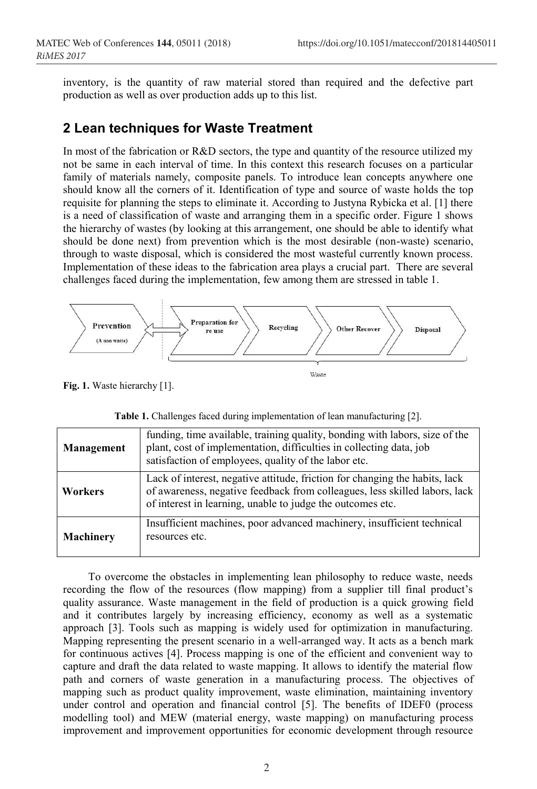inventory, is the quantity of raw material stored than required and the defective part production as well as over production adds up to this list.

### **2 Lean techniques for Waste Treatment**

In most of the fabrication or R&D sectors, the type and quantity of the resource utilized my not be same in each interval of time. In this context this research focuses on a particular family of materials namely, composite panels. To introduce lean concepts anywhere one should know all the corners of it. Identification of type and source of waste holds the top requisite for planning the steps to eliminate it. According to Justyna Rybicka et al. [1] there is a need of classification of waste and arranging them in a specific order. Figure 1 shows the hierarchy of wastes (by looking at this arrangement, one should be able to identify what should be done next) from prevention which is the most desirable (non-waste) scenario, through to waste disposal, which is considered the most wasteful currently known process. Implementation of these ideas to the fabrication area plays a crucial part. There are several challenges faced during the implementation, few among them are stressed in table 1.



**Fig. 1.** Waste hierarchy [1].

| <b>Table 1.</b> Challenges faced during implementation of lean manufacturing [2]. |  |  |  |
|-----------------------------------------------------------------------------------|--|--|--|
|-----------------------------------------------------------------------------------|--|--|--|

| Management       | funding, time available, training quality, bonding with labors, size of the<br>plant, cost of implementation, difficulties in collecting data, job<br>satisfaction of employees, quality of the labor etc.              |
|------------------|-------------------------------------------------------------------------------------------------------------------------------------------------------------------------------------------------------------------------|
| Workers          | Lack of interest, negative attitude, friction for changing the habits, lack<br>of awareness, negative feedback from colleagues, less skilled labors, lack<br>of interest in learning, unable to judge the outcomes etc. |
| <b>Machinery</b> | Insufficient machines, poor advanced machinery, insufficient technical<br>resources etc.                                                                                                                                |

To overcome the obstacles in implementing lean philosophy to reduce waste, needs recording the flow of the resources (flow mapping) from a supplier till final product's quality assurance. Waste management in the field of production is a quick growing field and it contributes largely by increasing efficiency, economy as well as a systematic approach [3]. Tools such as mapping is widely used for optimization in manufacturing. Mapping representing the present scenario in a well-arranged way. It acts as a bench mark for continuous actives [4]. Process mapping is one of the efficient and convenient way to capture and draft the data related to waste mapping. It allows to identify the material flow path and corners of waste generation in a manufacturing process. The objectives of mapping such as product quality improvement, waste elimination, maintaining inventory under control and operation and financial control [5]. The benefits of IDEF0 (process modelling tool) and MEW (material energy, waste mapping) on manufacturing process improvement and improvement opportunities for economic development through resource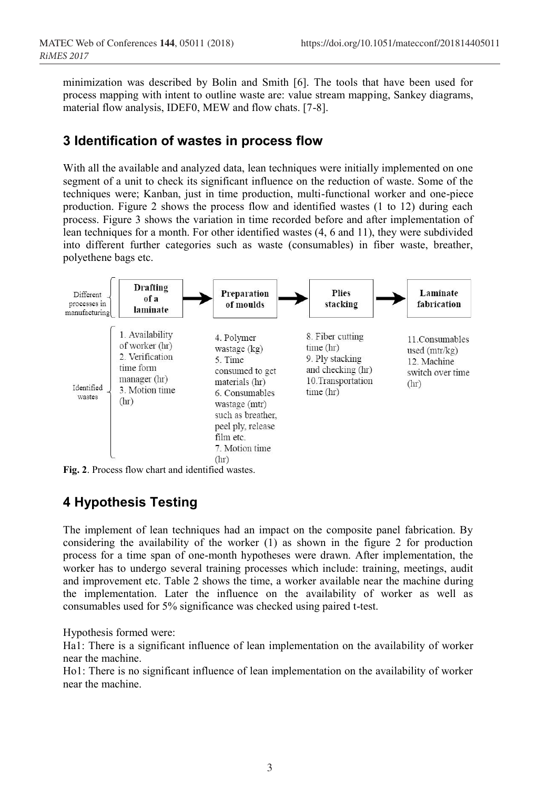minimization was described by Bolin and Smith [6]. The tools that have been used for process mapping with intent to outline waste are: value stream mapping, Sankey diagrams, material flow analysis, IDEF0, MEW and flow chats. [7-8].

### **3 Identification of wastes in process flow**

With all the available and analyzed data, lean techniques were initially implemented on one segment of a unit to check its significant influence on the reduction of waste. Some of the techniques were; Kanban, just in time production, multi-functional worker and one-piece production. Figure 2 shows the process flow and identified wastes (1 to 12) during each process. Figure 3 shows the variation in time recorded before and after implementation of lean techniques for a month. For other identified wastes (4, 6 and 11), they were subdivided into different further categories such as waste (consumables) in fiber waste, breather, polyethene bags etc.



**Fig. 2**. Process flow chart and identified wastes.

## **4 Hypothesis Testing**

The implement of lean techniques had an impact on the composite panel fabrication. By considering the availability of the worker (1) as shown in the figure 2 for production process for a time span of one-month hypotheses were drawn. After implementation, the worker has to undergo several training processes which include: training, meetings, audit and improvement etc. Table 2 shows the time, a worker available near the machine during the implementation. Later the influence on the availability of worker as well as consumables used for 5% significance was checked using paired t-test.

Hypothesis formed were:

Ha1: There is a significant influence of lean implementation on the availability of worker near the machine.

Ho1: There is no significant influence of lean implementation on the availability of worker near the machine.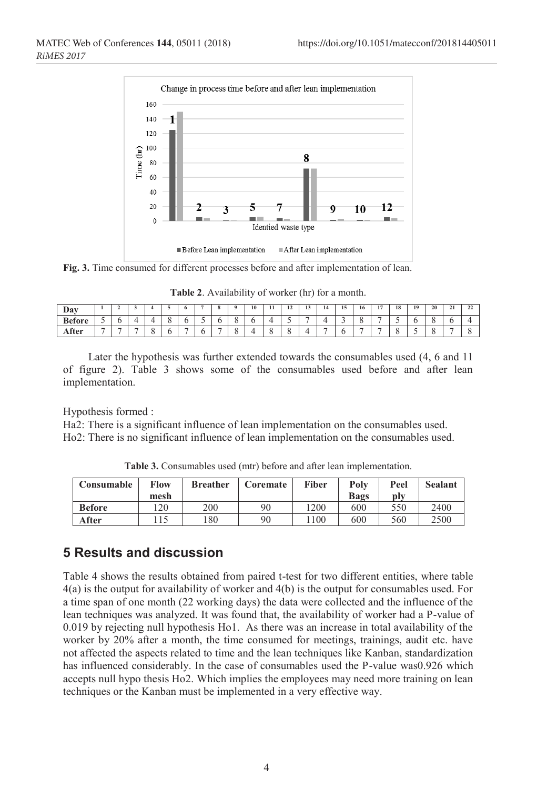

**Fig. 3.** Time consumed for different processes before and after implementation of lean.

**Table 2**. Availability of worker (hr) for a month.

| Day           |                |                          |   |        |        | v                        | ٠ | $\Omega$<br>o            | $\Omega$ | 10 |   | $\ddot{\phantom{1}}$<br>$\overline{14}$ | . .<br>                  | $\cdot$<br>-14 | 15      | 16                       | 1.77<br>. . | 18 | 19 | 20          | 5.5<br>$\overline{a}$    | $\sim$<br>- |
|---------------|----------------|--------------------------|---|--------|--------|--------------------------|---|--------------------------|----------|----|---|-----------------------------------------|--------------------------|----------------|---------|--------------------------|-------------|----|----|-------------|--------------------------|-------------|
| <b>Before</b> |                |                          |   |        | $\sim$ | ◟                        |   |                          |          | v  |   |                                         | $\overline{\phantom{0}}$ |                | -       | $\sim$<br>ີ              |             |    |    | $\sim$<br>Ο |                          |             |
| After         | $\overline{ }$ | $\overline{\phantom{0}}$ | - | ∽<br>ິ |        | $\overline{\phantom{0}}$ |   | $\overline{\phantom{0}}$ | ι.       | ↵  | v | o                                       |                          | -              | ı.<br>╰ | $\overline{\phantom{0}}$ |             |    |    | $\sim$<br>O | $\overline{\phantom{0}}$ |             |

Later the hypothesis was further extended towards the consumables used (4, 6 and 11 of figure 2). Table 3 shows some of the consumables used before and after lean implementation.

Hypothesis formed :

Ha2: There is a significant influence of lean implementation on the consumables used. Ho2: There is no significant influence of lean implementation on the consumables used.

**Table 3.** Consumables used (mtr) before and after lean implementation.

| Consumable    | Flow | <b>Breather</b> | Coremate | <b>Fiber</b> | Poly | Peel | <b>Sealant</b> |
|---------------|------|-----------------|----------|--------------|------|------|----------------|
|               | mesh |                 |          |              | Bags | ply  |                |
| <b>Before</b> | 20   | 200             | 90       | 1200         | 600  | 550  | 2400           |
| After         |      | 180             | 90       | 100          | 600  | 560  | 2500           |

# **5 Results and discussion**

Table 4 shows the results obtained from paired t-test for two different entities, where table 4(a) is the output for availability of worker and 4(b) is the output for consumables used. For a time span of one month (22 working days) the data were collected and the influence of the lean techniques was analyzed. It was found that, the availability of worker had a P-value of 0.019 by rejecting null hypothesis Ho1. As there was an increase in total availability of the worker by 20% after a month, the time consumed for meetings, trainings, audit etc. have not affected the aspects related to time and the lean techniques like Kanban, standardization has influenced considerably. In the case of consumables used the P-value was0.926 which accepts null hypo thesis Ho2. Which implies the employees may need more training on lean techniques or the Kanban must be implemented in a very effective way.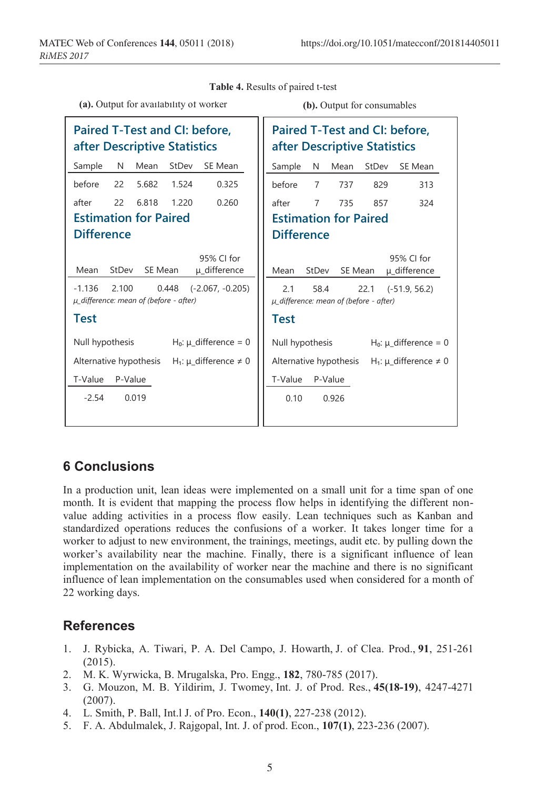| (a). Output for availability of worker      | (b). Output for consumables                |  |  |  |  |  |  |
|---------------------------------------------|--------------------------------------------|--|--|--|--|--|--|
| Paired T-Test and CI: before,               | Paired T-Test and CI: before,              |  |  |  |  |  |  |
| after Descriptive Statistics                | after Descriptive Statistics               |  |  |  |  |  |  |
| SE Mean                                     | Sample                                     |  |  |  |  |  |  |
| Sample                                      | SE Mean                                    |  |  |  |  |  |  |
| N                                           | N                                          |  |  |  |  |  |  |
| StDev                                       | Mean                                       |  |  |  |  |  |  |
| Mean                                        | StDev                                      |  |  |  |  |  |  |
| 22                                          | before                                     |  |  |  |  |  |  |
| before                                      | $\overline{7}$                             |  |  |  |  |  |  |
| 1.524                                       | 737                                        |  |  |  |  |  |  |
| 0.325                                       | 829                                        |  |  |  |  |  |  |
| 5.682                                       | 313                                        |  |  |  |  |  |  |
| 0.260                                       | $\overline{7}$                             |  |  |  |  |  |  |
| 22                                          | 857                                        |  |  |  |  |  |  |
| 6.818                                       | after                                      |  |  |  |  |  |  |
| 1.220                                       | 735                                        |  |  |  |  |  |  |
| after                                       | 324                                        |  |  |  |  |  |  |
| <b>Estimation for Paired</b>                | <b>Estimation for Paired</b>               |  |  |  |  |  |  |
| <b>Difference</b>                           | <b>Difference</b>                          |  |  |  |  |  |  |
| 95% CI for                                  | 95% CI for                                 |  |  |  |  |  |  |
| µ_difference                                | StDev                                      |  |  |  |  |  |  |
| Mean                                        | SE Mean                                    |  |  |  |  |  |  |
| StDev                                       | µ_difference                               |  |  |  |  |  |  |
| SE Mean                                     | Mean                                       |  |  |  |  |  |  |
| $-1.136$                                    | 2.1                                        |  |  |  |  |  |  |
| 2.100                                       | 58.4                                       |  |  |  |  |  |  |
| 0.448                                       | 22.1                                       |  |  |  |  |  |  |
| $(-2.067, -0.205)$                          | $(-51.9, 56.2)$                            |  |  |  |  |  |  |
| $\mu$ difference: mean of (before - after)  | $\mu$ difference: mean of (before - after) |  |  |  |  |  |  |
| <b>Test</b>                                 | Test                                       |  |  |  |  |  |  |
| Null hypothesis                             | Null hypothesis                            |  |  |  |  |  |  |
| $H_0$ : µ_difference = 0                    | H <sub>0</sub> : $\mu$ _difference = 0     |  |  |  |  |  |  |
| Alternative hypothesis                      | Alternative hypothesis                     |  |  |  |  |  |  |
| H <sub>1</sub> : $\mu$ _difference $\neq$ 0 | H <sub>1</sub> : $\mu$ difference $\neq$ 0 |  |  |  |  |  |  |
| T-Value                                     | T-Value                                    |  |  |  |  |  |  |
| P-Value                                     | P-Value                                    |  |  |  |  |  |  |
| $-2.54$                                     | 0.10                                       |  |  |  |  |  |  |
| 0.019                                       | 0.926                                      |  |  |  |  |  |  |
|                                             |                                            |  |  |  |  |  |  |

**Table 4.** Results of paired t-test

# **6 Conclusions**

In a production unit, lean ideas were implemented on a small unit for a time span of one month. It is evident that mapping the process flow helps in identifying the different nonvalue adding activities in a process flow easily. Lean techniques such as Kanban and standardized operations reduces the confusions of a worker. It takes longer time for a worker to adjust to new environment, the trainings, meetings, audit etc. by pulling down the worker's availability near the machine. Finally, there is a significant influence of lean implementation on the availability of worker near the machine and there is no significant influence of lean implementation on the consumables used when considered for a month of 22 working days.

## **References**

- 1. J. Rybicka, A. Tiwari, P. A. Del Campo, J. Howarth, J. of Clea. Prod., **91**, 251-261 (2015).
- 2. M. K. Wyrwicka, B. Mrugalska, Pro. Engg., **182**, 780-785 (2017).
- 3. G. Mouzon, M. B. Yildirim, J. Twomey, Int. J. of Prod. Res., **45(18-19)**, 4247-4271 (2007).
- 4. L. Smith, P. Ball, Int.l J. of Pro. Econ., **140(1)**, 227-238 (2012).
- 5. F. A. Abdulmalek, J. Rajgopal, Int. J. of prod. Econ., **107(1)**, 223-236 (2007).